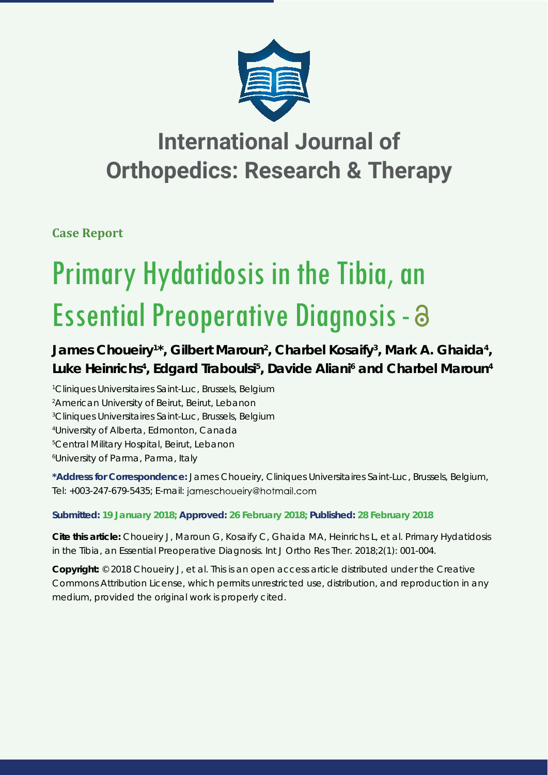

## **International Journal of Orthopedics: Research & Therapy**

**Case Report**

# Primary Hydatidosis in the Tibia, an Essential Preoperative Diagnosis -

### James Choueiry<sup>1\*</sup>, Gilbert Maroun<sup>2</sup>, Charbel Kosaify<sup>3</sup>, Mark A. Ghaida<sup>4</sup>, Luke Heinrichs<sup>4</sup>, Edgard Traboulsi<sup>5</sup>, Davide Aliani<sup>6</sup> and Charbel Maroun<sup>4</sup>

*1 Cliniques Universitaires Saint-Luc, Brussels, Belgium*

*2 American University of Beirut, Beirut, Lebanon*

*3 Cliniques Universitaires Saint-Luc, Brussels, Belgium*

*4 University of Alberta, Edmonton, Canada*

*5 Central Military Hospital, Beirut, Lebanon*

*6 University of Parma, Parma, Italy*

**\*Address for Correspondence:** James Choueiry, Cliniques Universitaires Saint-Luc, Brussels, Belgium, Tel: +003-247-679-5435; E-mail: jameschoueiry@hotmail.com

#### **Submitted: 19 January 2018; Approved: 26 February 2018; Published: 28 February 2018**

**Cite this article:** Choueiry J, Maroun G, Kosaify C, Ghaida MA, Heinrichs L, et al. Primary Hydatidosis in the Tibia, an Essential Preoperative Diagnosis. Int J Ortho Res Ther. 2018;2(1): 001-004.

**Copyright:** © 2018 Choueiry J, et al. This is an open access article distributed under the Creative Commons Attribution License, which permits unrestricted use, distribution, and reproduction in any medium, provided the original work is properly cited.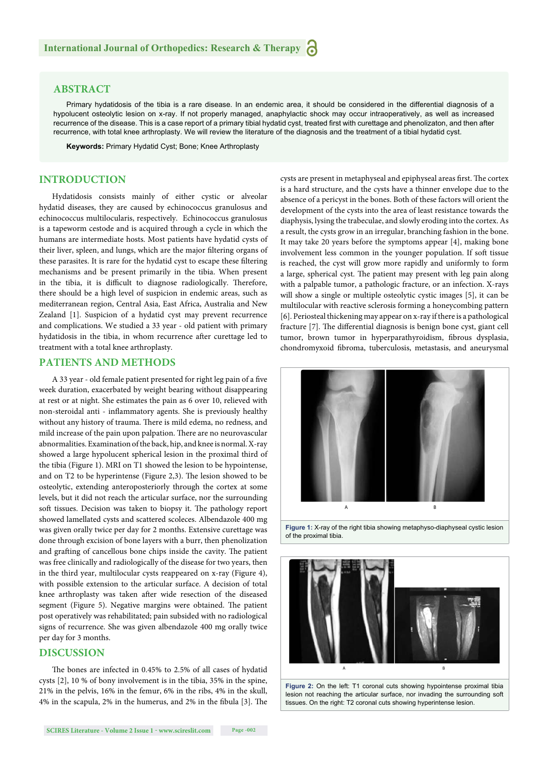#### **ABSTRACT**

Primary hydatidosis of the tibia is a rare disease. In an endemic area, it should be considered in the differential diagnosis of a hypolucent osteolytic lesion on x-ray. If not properly managed, anaphylactic shock may occur intraoperatively, as well as increased recurrence of the disease. This is a case report of a primary tibial hydatid cyst, treated first with curettage and phenolizaton, and then after recurrence, with total knee arthroplasty. We will review the literature of the diagnosis and the treatment of a tibial hydatid cyst.

**Keywords:** Primary Hydatid Cyst; Bone; Knee Arthroplasty

#### **INTRODUCTION**

Hydatidosis consists mainly of either cystic or alveolar hydatid diseases, they are caused by echinococcus granulosus and echinococcus multilocularis, respectively. Echinococcus granulosus is a tapeworm cestode and is acquired through a cycle in which the humans are intermediate hosts. Most patients have hydatid cysts of their liver, spleen, and lungs, which are the major filtering organs of these parasites. It is rare for the hydatid cyst to escape these filtering mechanisms and be present primarily in the tibia. When present in the tibia, it is difficult to diagnose radiologically. Therefore, there should be a high level of suspicion in endemic areas, such as mediterranean region, Central Asia, East Africa, Australia and New Zealand [1]. Suspicion of a hydatid cyst may prevent recurrence and complications. We studied a 33 year - old patient with primary hydatidosis in the tibia, in whom recurrence after curettage led to treatment with a total knee arthroplasty.

#### **PATIENTS AND METHODS**

A 33 year - old female patient presented for right leg pain of a five week duration, exacerbated by weight bearing without disappearing at rest or at night. She estimates the pain as 6 over 10, relieved with non-steroidal anti - inflammatory agents. She is previously healthy without any history of trauma. There is mild edema, no redness, and mild increase of the pain upon palpation. There are no neurovascular abnormalities. Examination of the back, hip, and knee is normal. X-ray showed a large hypolucent spherical lesion in the proximal third of the tibia (Figure 1). MRI on T1 showed the lesion to be hypointense, and on T2 to be hyperintense (Figure 2,3). The lesion showed to be osteolytic, extending anteroposteriorly through the cortex at some levels, but it did not reach the articular surface, nor the surrounding soft tissues. Decision was taken to biopsy it. The pathology report showed lamellated cysts and scattered scoleces. Albendazole 400 mg was given orally twice per day for 2 months. Extensive curettage was done through excision of bone layers with a burr, then phenolization and grafting of cancellous bone chips inside the cavity. The patient was free clinically and radiologically of the disease for two years, then in the third year, multilocular cysts reappeared on x-ray (Figure 4), with possible extension to the articular surface. A decision of total knee arthroplasty was taken after wide resection of the diseased segment (Figure 5). Negative margins were obtained. The patient post operatively was rehabilitated; pain subsided with no radiological signs of recurrence. She was given albendazole 400 mg orally twice per day for 3 months.

#### **DISCUSSION**

The bones are infected in 0.45% to 2.5% of all cases of hydatid cysts [2], 10 % of bony involvement is in the tibia, 35% in the spine, 21% in the pelvis, 16% in the femur, 6% in the ribs, 4% in the skull, 4% in the scapula, 2% in the humerus, and 2% in the fibula [3]. The cysts are present in metaphyseal and epiphyseal areas first. The cortex is a hard structure, and the cysts have a thinner envelope due to the absence of a pericyst in the bones. Both of these factors will orient the development of the cysts into the area of least resistance towards the diaphysis, lysing the trabeculae, and slowly eroding into the cortex. As a result, the cysts grow in an irregular, branching fashion in the bone. It may take 20 years before the symptoms appear [4], making bone involvement less common in the younger population. If soft tissue is reached, the cyst will grow more rapidly and uniformly to form a large, spherical cyst. The patient may present with leg pain along with a palpable tumor, a pathologic fracture, or an infection. X-rays will show a single or multiple osteolytic cystic images [5], it can be multilocular with reactive sclerosis forming a honeycombing pattern [6]. Periosteal thickening may appear on x-ray if there is a pathological fracture [7]. The differential diagnosis is benign bone cyst, giant cell tumor, brown tumor in hyperparathyroidism, fibrous dysplasia, chondromyxoid fibroma, tuberculosis, metastasis, and aneurysmal







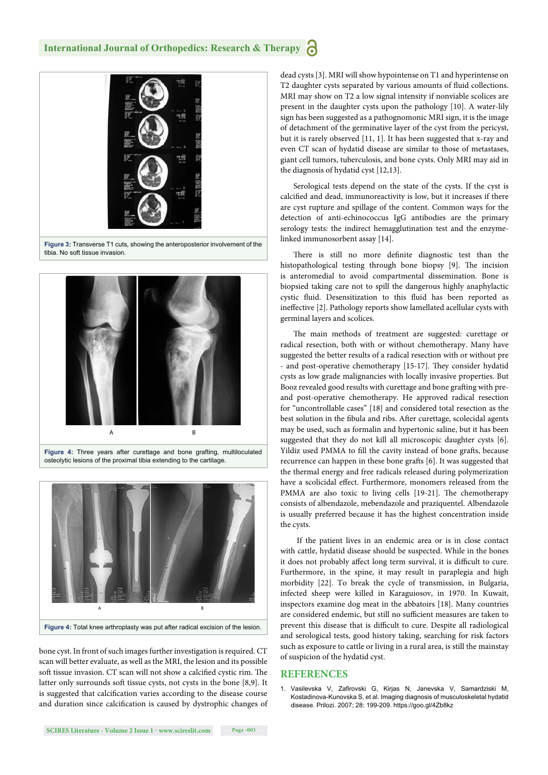

**Figure 3:** Transverse T1 cuts, showing the anteroposterior involvement of the tibia. No soft tissue invasion.





bone cyst. In front of such images further investigation is required. CT scan will better evaluate, as well as the MRI, the lesion and its possible soft tissue invasion. CT scan will not show a calcified cystic rim. The latter only surrounds soft tissue cysts, not cysts in the bone [8,9]. It is suggested that calcification varies according to the disease course and duration since calcification is caused by dystrophic changes of dead cysts [3]. MRI will show hypointense on T1 and hyperintense on T2 daughter cysts separated by various amounts of fluid collections. MRI may show on T2 a low signal intensity if nonviable scolices are present in the daughter cysts upon the pathology [10]. A water-lily sign has been suggested as a pathognomonic MRI sign, it is the image of detachment of the germinative layer of the cyst from the pericyst, but it is rarely observed [11, 1]. It has been suggested that x-ray and even CT scan of hydatid disease are similar to those of metastases, giant cell tumors, tuberculosis, and bone cysts. Only MRI may aid in the diagnosis of hydatid cyst [12,13].

Serological tests depend on the state of the cysts. If the cyst is calcified and dead, immunoreactivity is low, but it increases if there are cyst rupture and spillage of the content. Common ways for the detection of anti-echinococcus IgG antibodies are the primary serology tests: the indirect hemagglutination test and the enzymelinked immunosorbent assay [14].

There is still no more definite diagnostic test than the histopathological testing through bone biopsy [9]. The incision is anteromedial to avoid compartmental dissemination. Bone is biopsied taking care not to spill the dangerous highly anaphylactic cystic fluid. Desensitization to this fluid has been reported as ineffective [2]. Pathology reports show lamellated acellular cysts with germinal layers and scolices.

The main methods of treatment are suggested: curettage or radical resection, both with or without chemotherapy. Many have suggested the better results of a radical resection with or without pre - and post-operative chemotherapy [15-17]. They consider hydatid cysts as low grade malignancies with locally invasive properties. But Booz revealed good results with curettage and bone grafting with preand post-operative chemotherapy. He approved radical resection for "uncontrollable cases" [18] and considered total resection as the best solution in the fibula and ribs. After curettage, scolecidal agents may be used, such as formalin and hypertonic saline, but it has been suggested that they do not kill all microscopic daughter cysts [6]. Yildiz used PMMA to fill the cavity instead of bone grafts, because recurrence can happen in these bone grafts [6]. It was suggested that the thermal energy and free radicals released during polymerization have a scolicidal effect. Furthermore, monomers released from the PMMA are also toxic to living cells [19-21]. The chemotherapy consists of albendazole, mebendazole and praziquentel. Albendazole is usually preferred because it has the highest concentration inside the cysts.

 If the patient lives in an endemic area or is in close contact with cattle, hydatid disease should be suspected. While in the bones it does not probably affect long term survival, it is difficult to cure. Furthermore, in the spine, it may result in paraplegia and high morbidity [22]. To break the cycle of transmission, in Bulgaria, infected sheep were killed in Karaguiosov, in 1970. In Kuwait, inspectors examine dog meat in the abbatoirs [18]. Many countries are considered endemic, but still no sufficient measures are taken to prevent this disease that is difficult to cure. Despite all radiological and serological tests, good history taking, searching for risk factors such as exposure to cattle or living in a rural area, is still the mainstay of suspicion of the hydatid cyst.

#### **REFERENCES**

1. Vasilevska V, Zafirovski G, Kirjas N, Janevska V, Samardziski M, Kostadinova-Kunovska S, et al. Imaging diagnosis of musculoskeletal hydatid disease. Prilozi. 2007; 28: 199-209. https://goo.gl/4Zb8kz